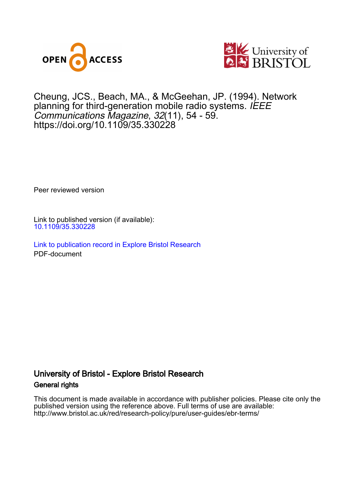



# Cheung, JCS. , Beach, MA., & McGeehan, JP. (1994). Network planning for third-generation mobile radio systems. IEEE Communications Magazine, 32(11), 54 - 59. <https://doi.org/10.1109/35.330228>

Peer reviewed version

Link to published version (if available): [10.1109/35.330228](https://doi.org/10.1109/35.330228)

[Link to publication record in Explore Bristol Research](https://research-information.bris.ac.uk/en/publications/8112b502-3c86-436a-8825-633fb1a11f82) PDF-document

# University of Bristol - Explore Bristol Research General rights

This document is made available in accordance with publisher policies. Please cite only the published version using the reference above. Full terms of use are available: http://www.bristol.ac.uk/red/research-policy/pure/user-guides/ebr-terms/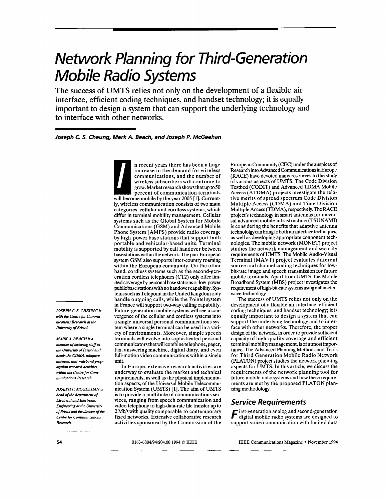# *Network Planning for Third-Generation Mobile Radio Systems*

The success of UMTS relies not only on the development of a flexible air interface, efficient coding techniques, and handset technology; it is equally important to design a system that can support the underlying technology and **to** interface with other networks.

#### *Joseph C. 5. Cheung, Mark A. Beach, and Joseph P. McGeehan*

*JOSEPH C.* **S.** *CHEUNG* is with *the Centre for Communicotions Research at the University of Bristol.* 

*MARK A. BEACH* is a  $m$ *ember of lecturing staff at the University of Bristol and heads the CDMA, adaptive* antenna, and wideband prop*agation research activities within the Centre for Communications Research.* 

*JOSEPH P. MCGEEHAN* is *head of the department of Electrical and Electronic Engineering at the Universiry*   $of$  *Bristol and the director of the Ceme for Communications Research.* 

n recent years there has been a huge increase in the demand for wireless communications, and the number of wireless subscribers will continue to grow. Market research shows that up to 50 percent of communication terminals will become mobile by the year **2005** [l]. Currently, wireless communication consists of two main categories, cellular and cordless systems, which differ in terminal mobility management. Cellular systems such as the Global System for Mobile Communications (GSM) and Advanced Mobile Phone System (AMPS) provide radio coverage by high-power base stations that support both portable and vehicular-based units. Terminal mobility is supported by call handover between base stationswithin the network. The pan-European system GSM also supports inter-country roaming within the European community. On the other hand, cordless systems such as the second-generation cordless telephones *(CT2)* only offer limited coverage by personal base stations or low-power public base stationswith no handover capability. Systems such as Telepoint in the United Kingdom only handle outgoing calls, while the Pointel system in France will support two-way calling capability. Future-generation mobile systems will see a convergence of the cellular and cordless systems into a single universal personal communications system where a single terminal can be used in a variety of environments. Moreover, simple speech terminals will evolve into sophisticated personal communicators that will combine telephone, pager, fax, answering machine, digital diary, and even full-motion video communications within a single unit.

In Europe, extensive research activities are underway to evaluate the market and technical requirements, as well as the physical implementation aspects, of the Universal Mobile Telecommunication System (UMTS) **[l].** The aim of UMTS is to provide a multitude of communications services, ranging from speech communication and video telephony to high-data-rate file transfer up to 2 Mb/swith quality comparable to contemporary fixed networks. Extensive collaborative research activities sponsored by the Commission of the European Community (CEC) under the auspices of Research into Advanced Communications in Europe (RACE) have devoted many resources to the study of various aspects of UMTS. The Code Division Testbed (CODIT) and Advanced TDMA Mobile Access (ATDMA) projects investigate the relative merits of spread spectrum Code Division Multiple Access (CDMA) and Time Division Multiple Access (TDMA), respectively. The RACE project's technology in smart antennas for universal advanced mobile intrastructure (TSUNAMI) is considering the benefits that adaptive antenna technololgy can bring to both air interface techniques, as well as developing appropriate conponent technologies. The mobile network (MONET) project studies the network management and security requirements of UMTS. The Mobile Audio-visual Terminal (MAVT) project evaluates different source and channel coding techniques for lowbit-rate image and speech transmission for future mobile terminals. Apart from UMTS, the Mobile Broadband System (MBS) project investigates the requirement of high-bit-rate systems using millimeterwave technology.

The success of UMTS relies not only on the development of a flexible air interface, efficient coding techniques, and handset technology; it is equally important to design a system that can support the underlying technology and to interface with other networks. Therefore, the proper design of the network, in order to provide sufficient capacity of high-quality coverage and efficient terminal mobility management, is of utmost importance. The Advanced Planning Methods and Tools for Third Generation Mobile Radio Network (PLATON) project studies the network planning aspects for UMTS. In this article, we discuss the requirements of the network planning tool for future mobile radio systems and how these requirements are met by the proposed PLATON planning methodology.

## *Service Requirements*

irst-generation analog and second-generation *F* digital mobile radio systems are designed to support voice communication with limited data

**0163-6804/94/\$04.00 1994** *0* IEEE 4.00 1994 © IEEE II

IEEE Communications Magazine • November 1994

54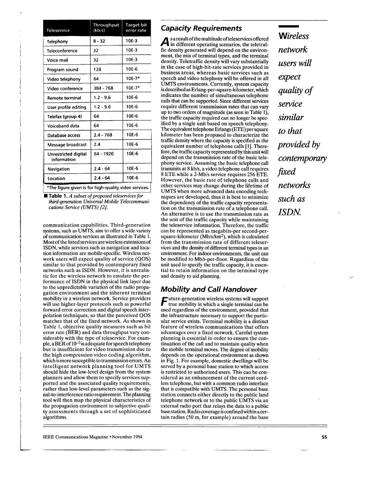| <b>Teleservice</b>                                           | Throughput<br>(kb/s) | <b>Target bit</b><br>error rate |
|--------------------------------------------------------------|----------------------|---------------------------------|
| Telephony                                                    | $8 - 32$             | 10E-3                           |
| Teleconference                                               | 32                   | $10E-3$                         |
| Voice mail                                                   | 32                   | $10E-3$                         |
| Program sound                                                | 128                  | 10E-6                           |
| Video telephony                                              | 64                   | 10E-7*                          |
| Video conference                                             | 384 - 768            | 10E-7*                          |
| Remote terminal                                              | $1.2 - 9.6$          | 10E-6                           |
| User profile editing                                         | $1.2 - 9.6$          | 10E-6                           |
| Telefax (group 4)                                            | 64                   | 10E-6                           |
| Voiceband data                                               | 64                   | 10E-6                           |
| Database access                                              | $2.4 - 768$          | 10E-6                           |
| Message broadcast                                            | 2.4                  | 10E-6                           |
| Unrestricted digital<br>information                          | 64 - 1920            | 10E-6                           |
| Navigation                                                   | $2.4 - 64$           | 10E-6                           |
| Location<br>*The figure given is for high quality video sens | $2.4 - 64$           | 10E-6                           |

The figure given is for high-quality video services.

■ Table 1. *A subset of proposed teleservices for third-generation Universal Mobile Telecommunications Service (UMTS) (21.* 

communication capabilities. Third-generation systems, such as UMTS, aim to offer a wide variety of communication services as illustrated in Table 1. Most of the listed services are wireless extensions of **ISDN,** while services such as navigation and location information are mobile-specific. Wireless network users will expect quality of service (QOS) similar to that provided by contemporary fixed networks such as **ISDN.** However, it is unrealistic for the wireless network to emulate the performance of **ISDN** in the physical link layer due to the unpredictable variation of the radio propagation environment and the inherent terminal mobility in a wireless network. Service providers will use higher-layer protocols such as powerful forward error correction and digital speech interpolation techniques, so that the perceived QOS matches that of the fixed network. As shown in Table 1, objective quality measures such as bit error rate (BER) and data throughput vary considerably with the type of teleservice. For example, a BER of  $10^{-3}$  is adequate for speech telephony but is insufficient for video transmission due to the high compression video coding algorithm, which is more susceptible to transmission errors. *An*  intelligent network planning tool for UMTS should hide the low-level design from the system planners and allow them to specify services supported and the associated quality requirements, rather than low-level parameters such as the signal-to-interference ratio requirement. The planning tool will then map the physical characteristics of the propagation environment to subjective quality assessments through a set of sophisticated algorithms.

## *Capacity Requirements*

A sa result of the multitude of teleservices offered in different operating scenarios, the teletraffic density generated will depend on the environment, the mix of terminal types, and the terminal density. Teletraffic density will vary substantially in the case of high-bit-rate services provided in business areas, whereas basic services such as speech and video telephony will be offered in all UMTS environments. Currently, system capacity is described as **Erlang-per-square-kilometer,** which indicates the number of simultaneous telephone calls that can be supported. Since different services require different transmission rates that can vary up to two orders of magnitude (as seen in Table 1), the traffic capacity required can no longer be specified by a single unit based on speech telephony. The equivalent telephone Erlangs (ETE) per square kilometer has been proposed to characterize the traffic density where the capacity is specified as the equivalent number of telephone calls [1]. Therefore, the traffic capacityrepresented by this unitwill depend on the transmission rate of the basic telephony service. Assuming the basic telephone call transmits at 8 kb/s, a video telephone call requires 8 ETE while a 2-Mb/s service requires 256 ETE. However, the basic rate of telephone calls and other services may change during the lifetime of UMTS when more advanced data encoding techniques are developed, thus it is best to minimize the dependency of the traffic capacity representation on the transmission rate of a telephone call. An alternative is to use the transmission rate as the unit of the traffic capacity while maintaining the teleservice information. Therefore, the traffic can be represented as megabits-per second-persquare-kilometer (Mb/s/km2), which is calculated from the transmission rate of different teleservices and the density of different terminal types in an environment. For indoor environments, the unit can be modified to Mb/s-per-floor. Regardless of the unit used to specify the traffic capacity, it is essential to retain information on the terminal type and density to aid planning.

## *Mobility and Call Handover*

uture-generation wireless systems will support *F* true mobility in which a single terminal can be used regardless of the environment, provided that the infrastructure necessary to support the particular service exists. Terminal mobility is a distinct feature of wireless communications that offers advantages over a fixed network. Careful system planning is essential in order to ensure the continuation of the call and to maintain quality when the mobile terminal moves. The degree of mobility depends on the operational environment as shown in Fig. 1. For example, domestic dwellings will be served by a personal base station to which access is restricted to authorized users. This can be considered as an enhancement of the current cordless telephone, but with a common radio interface that is compatible with UMTS. The personal base station connects either directly to the public land telephone network or to the public UMTS via an external radio port that relays the data to a public base station. Radio coverage is confinedwithin acertain radius (50 m, for example) around the base

**Value 15 Minutes** *Wireless network users will expect quality of service similar to that provided by contemporary networks such as ISDN. fixed* 

**IEEE** Communications Magazine \*November **1994 55** 

,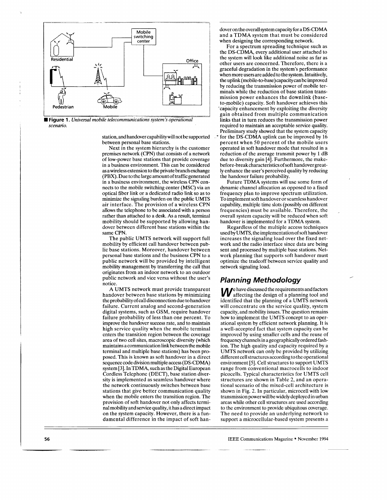

**Example 1.** Universal mobile telecommunications system's operational scenario.

station, and handover capabilitywill not be supported between personal base stations.

Next in the system hierarchy is the customer premises network (CPN) that consists of a network of low-power base stations that provide coverage in a business environment. This can be considered as awireless extension to the private branch exchange (PBX). Due to the large amount of traffic generated in a business environment, the wireless CPN connects to the mobile switching center (MSC) via an optical fiber link or a dedicated radio link so as to minimize the signaling burden on the public UMTS air interface. The provision of a wireless CPN allows the telephone to be associated with a person rather than attached to a desk. *As* a result, terminal mobility should be supported by allowing handover between different base stations within the same CPN.

The public UMTS network will support full mobility by efficient call handover between public base stations. Moreover, handover between personal base stations and the business CPN to a public network will be provided by intelligent mobility management by transferring the call that originates from an indoor network to an outdoor public network and vice versa without the user's notice.

A UMTS network must provide transparent handover between base stations by minimizing the probability of call disconnection due to handover failure. Current analog and second-generation digital systems, such as GSM, require handover failure probability of less than one percent. To improve the handover success rate, and to maintain high service quality when the mobile terminal enters the transition region between the coverage area of two cell sites, macroscopic diversity (which maintains a communication link between the mobile terminal and multiple base stations) has been proposed. This is known as soft handover in a direct sequence code division multiple access (DS-CDMA) system **[3].** In TDMA, such as the Digital European Cordless Telephone (DECT), base station diversity is implemented as seamless handover where the network continuously switches between base stations that give better communication quality when the mobile enters the transition region. The provision of soft handover not only affects terminal mobility and service quality, it has a direct impact on the system capacity. However, there is a fundamental difference in the impact of soft handover on the overall system capacity for a DS-CDMA and a TDMA system that must be considered when designing the corresponding network.

For a spectrum spreading technique such as the DS-CDMA, every additional user attached to the system will look like additional noise as far as other users are concerned. Therefore, there is a graceful degradation in the system's performance when more users are added to the system. Intuitively, the uplink (mobile-to-base) capacity can be improved by reducing the transmission power of mobile terminals while the reduction of base station transmission power enhances the downlink (baseto-mobile) capacity. Soft handover achieves this 'capacity enhancement by exploiting the diversity gain obtained from multiple communication links that in turn reduces the transmission power required to maintain an acceptable service quality. Preliminary study showed that the system capacity for the DS-CDMA uplink can be improved by 16 percent when 50 percent of the mobile users

operated in soft handover mode that resulted in a reduction of the average transmit power by 1 dB due to diversity gain **[4].** Furthermore, the makebefore-break characteristics of soft handovergreatly enhance the user's perceived quality by reducing the handover failure probability.

Future TDMA systems will use some form of dynamic channel allocation as opposed to a fixed frequency plan to improve spectrum utilization. To implement soft handover or seamless handover capability, multiple time slots (possibly on different frequencies) must be available. Therefore, the overall system capacity will be reduced when soft handover is implemented for a TDMA system.

Regardless of the multiple access techniques used by UMTS, the implementation of soft handover increases the signaling load over the fixed network and the radio interface since data are being sent and processed by multiple base stations. Network planning that supports soft handover must optimize the tradeoff between service quality and network signaling load.

,

## *Planning Methodology*

We have discussed the requirements and factors<br>
affecting the design of a planning tool and identified that the planning **of** a UMTS network will concentrate on the service quality, system capacity, and mobility issues. The question remains how to implement the UMTS concept to an operational system by efficient network planning. It is a well-accepted fact that system capacity can be improved by using smaller cells and the reuse of frequency channels in ageographically ordered fashion. The high quality and capacity required by a UMTS network can only be provided by utilizing different cell structures according to the operational environment [5]. Cell structures to support UMTS range from conventional macrocells to indoor picocells. Typical characteristics for UMTS cell structures are shown in Table 2, and an operational scenario of the mixed-cell architecture is shown in Fig. 2. In particular, microcell with low transmission power will be widely deployed in urban areas while other cell structures are used according to the environment to provide ubiquitous coverage. The need to provide an underlying network to support a microcellular-based system presents a

**56 IEEE Communications Magazine • November 1994**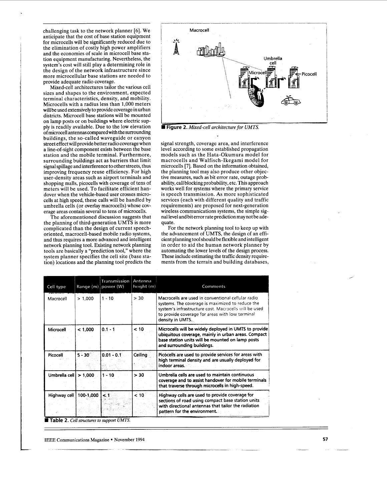challenging task to the network planner **[6].** We anticipate that the cost of base station equipment for microcells will be significantly reduced due to the elimination of costly high power amplifiers and the economies of scale in microcell base station equipment manufacturing. Nevertheless, the system's cost will still play a determining role in the design of the network infrastructure since more microcellular base stations are needed to provide adequate radio coverage.

Mixed-cell architectures tailor the various cell sizes and shapes to the environment, expected terminal characteristics, density, and mobility. Microcells with a radius less than **1,000** meters will be used extensively to provide coverage in urban districts. Microcell base stations will be mounted on lamp posts or on buildings where electric supply is readily available. Due to the low elevation of microcell antennas comparedwith the surrounding buildings, the so-called waveguide or canyon street effectwill provide better radio coverage when a line-of-sight component exists between the base station and the mobile terminal. Furthermore, surrounding buildings act as barriers that limit signal spillage and interference to other streets, thus improving frequency reuse efficiency. For high user-density areas such as airport terminals and shopping malls, picocells with coverage of tens of meters will be used. To facilitate efficient handover when the vehicle-based user crosses microcells at high speed, these calls will be handled by umbrella cells (or overlay macrocells) whose coverage areas contain several to tens of microcells.

The aforementioned discussion suggests that the planning of third-generation UMTS is more complicated than the design of current speechoriented, macrocell-based mobile radio systems, and thus requires a more advanced and intelligent network planning tool. Existing network planning tools are basically a "prediction tool," where the system planner specifies the cell site (base station) locations and the planning tool predicts the



\_\_\_ , **W Figure** *2. Mixed-cell architecture for UMTS.* 

signal strength, coverage area, and interference level according to some established propagation models such as the Hata-Okumura model for macrocells and Walfisch-Ikegami model for microcells **[7].** Based on the information obtained, the planning tool may also produce other objective measures, such as bit error rate, outage probability, call blocking probability, etc. This approach works well for systems where the primary service is speech transmission. **As** more sophisticated services (each with different quality and traffic requirements) are proposed for next-generation wireless communications systems, the simple signal level and bit error rate prediction may not be adequate.

For the network planning tool to keep up with the advancement of UMTS, the design of an efficient planning tool should be flexible and intelligent in order to aid the human network planner by automating the lower levels of the design process. These include estimating the traffic density requirements from the terrain and building databases,

| Cell type                                        |                  | Transmission<br>Range (m) power (W) | Antenna<br>height $(m)$ | Comments                                                                                                                                                                                                                               |
|--------------------------------------------------|------------------|-------------------------------------|-------------------------|----------------------------------------------------------------------------------------------------------------------------------------------------------------------------------------------------------------------------------------|
| Macrocell                                        | > 1.000          | $1 - 10$                            | > 30                    | Macrocells are used in conventional cellular radio<br>systems. The coverage is maximized to reduce the<br>system's infrastructure cost. Macrocells will be used<br>to provide coverage for areas with low terminal<br>density in UMTS. |
| Microcell                                        | < 1.000          | $0.1 - 1$                           | < 10                    | Microcells will be widely deployed in UMTS to provide<br>ubiquitous coverage, mainly in urban areas. Compact<br>base station units will be mounted on lamp posts<br>and surrounding buildings.                                         |
| Picocell                                         | $5 - 30^{\circ}$ | $0.01 - 0.1$                        | Ceiling                 | Picocells are used to provide services for areas with<br>high terminal density and are usually deployed for<br>indoor areas.                                                                                                           |
| Umbrella cell i                                  | > 1.000          | $1 - 10$                            | > 30                    | Umbrella cells are used to maintain continuous<br>coverage and to assist handover for mobile terminals<br>that traverse through microcells in high-speed.                                                                              |
| Highway cell                                     | 100-1,000        | <1                                  | < 10                    | Highway cells are used to provide coverage for<br>sections of road using compact base station units<br>with directional antennas that tailor the radiation<br>pattern for the environment.                                             |
| <b>Table 2.</b> Cell structures to support UMTS. |                  |                                     |                         |                                                                                                                                                                                                                                        |

IEEE Communications Magazine • November 1994 **57** 

--

,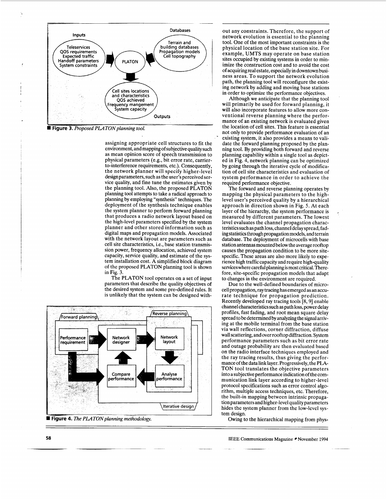

**Figure 3. Proposed PLATON planning tool.** 

assigning appropriate cell structures to fit the environment, and mapping of subjective quality such as mean opinion score of speech transmission to physical parameters (e.g., bit error rate, carrierto-interference requirements, etc.). Consequently, the network planner will specify higher-level design parameters, such as the user's perceived service quality, and fine tune the estimates given by the planning tool. Also, the proposed PLATON planning tool attempts to take a radical approach to planning by employing "synthesis" techniques. The deployment of the synthesis technique enables the system planner to perform forward planning that produces a radio network layout based on the high-level parameters specified by the system planner and other stored information such as digital maps and propagation models. Associated with the network layout are parameters such as cell site characteristics, i.e., base station transmission power, frequency allocation, achieved system capacity, service quality, and estimate of the system installation cost. **A** simplified block diagram of the proposed PLATON planning tool is shown in Fig. **3.** 

The PLATON tool operates on a set of input parameters that describe the quality objectives of the desired system and some pre-defined rules. It is unlikely that the system can be designed with-



out any constraints. Therefore, the support of network evolution is essential to the planning tool. One of the most important constraints is the physical location of the base station site. For example, UMTS may operate on base station sites occupied by existing systems in order to minimize the construction cost and to avoid the cost of acquiring real estate, especially in downtown business areas. To support the network evolution path, the planning tool will reconfigure the existing network by adding and moving base stations in order to optimize the performance objectives.

Although we anticipate that the planning tool will primarily be used for forward planning, it will also incorporate features to allow more conventional reverse planning where the performance of an existing network is evaluated given the location of cell sites. This feature is essential not only to provide performance evaluation of an existing system, it also provides a means to validate the forward planning proposed by the planning tool. By providing both forward and reverse planning capability within a single tool as depicted in Fig. **4,** network planning can be optimized by going through the iterative cycle of modification of cell site characteristics and evaluation of system performance in order to achieve the required performance objective.

The forward and reverse planning operates by mapping the physical parameters to the highlevel user's perceived quality by a hierarchical approach in direction shown in Fig. 5. At each layer of the hierarchy, the system performance is measured by different parameters. The lowest level evaluates the channel propagation characteristics such as path loss, channel delay spread, fading statistics through propagation models, and terrain database. The deployment of microcells with base station antennas mounted below the average rooftop causes the propagation condition to be more sitespecific. These areas are also more likely to experience high traffic capacity and require high-quality services where careful planning is most critical. Therefore, site-specific propagation models that adapt to changes in the environment are required.

Due to the well-defined boundaries of microcell propagation, ray tracing has emerged as an accurate technique for propagation prediction. Recently developed ray tracing tools *[8,9]* enable channel characteristics such as path loss, power delay profiles, fast fading, and root mean square delay spread to be determined by analyzing the signal arriving at the mobile terminal from the base station via wall reflections, corner diffraction, diffuse wall scattering, and over rooftop diffraction. System performance parameters such as bit error rate and outage probability are then evaluated based on the radio interface techniques employed and the ray tracing results, thus giving the performance of the data linklayer. Progressively, the PLA-TON tool translates the objective parameters into a subjective performance indication of the communication link layer according to higher-level protocol specifications such as error control algorithm, multiple access techniques, etc. Therefore, the built-in mapping between intrinsic propagation parameters and higher-level quality parameters hides the system planner from the low-level system design.

Owing to the hierarchical mapping from phys-

**58 IEEE Communications Magazine • November 1994**  $\frac{1}{2}$  . These Community of the community of  $\frac{1}{2}$  . The community of  $\frac{1}{2}$  . The community of  $\frac{1}{2}$  . The community of  $\frac{1}{2}$  . The community of  $\frac{1}{2}$  . The community of  $\frac{1}{2}$  . The community of